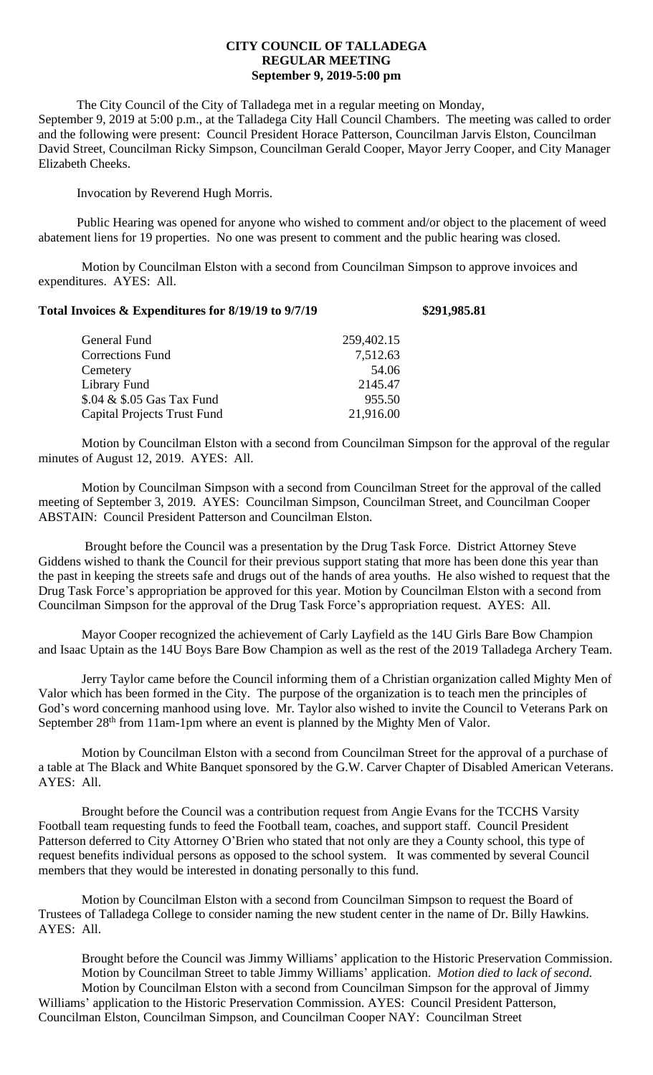## **CITY COUNCIL OF TALLADEGA REGULAR MEETING September 9, 2019-5:00 pm**

The City Council of the City of Talladega met in a regular meeting on Monday, September 9, 2019 at 5:00 p.m., at the Talladega City Hall Council Chambers. The meeting was called to order and the following were present: Council President Horace Patterson, Councilman Jarvis Elston, Councilman David Street, Councilman Ricky Simpson, Councilman Gerald Cooper, Mayor Jerry Cooper, and City Manager Elizabeth Cheeks.

Invocation by Reverend Hugh Morris.

Public Hearing was opened for anyone who wished to comment and/or object to the placement of weed abatement liens for 19 properties. No one was present to comment and the public hearing was closed.

Motion by Councilman Elston with a second from Councilman Simpson to approve invoices and expenditures. AYES: All.

| Total Invoices & Expenditures for 8/19/19 to 9/7/19 |            | \$291,985.81 |
|-----------------------------------------------------|------------|--------------|
| General Fund                                        | 259,402.15 |              |
| <b>Corrections Fund</b>                             | 7,512.63   |              |
| Cemetery                                            | 54.06      |              |
| Library Fund                                        | 2145.47    |              |
| \$.04 & \$.05 Gas Tax Fund                          | 955.50     |              |
| <b>Capital Projects Trust Fund</b>                  | 21,916.00  |              |

Motion by Councilman Elston with a second from Councilman Simpson for the approval of the regular minutes of August 12, 2019. AYES: All.

Motion by Councilman Simpson with a second from Councilman Street for the approval of the called meeting of September 3, 2019. AYES: Councilman Simpson, Councilman Street, and Councilman Cooper ABSTAIN: Council President Patterson and Councilman Elston.

Brought before the Council was a presentation by the Drug Task Force. District Attorney Steve Giddens wished to thank the Council for their previous support stating that more has been done this year than the past in keeping the streets safe and drugs out of the hands of area youths. He also wished to request that the Drug Task Force's appropriation be approved for this year. Motion by Councilman Elston with a second from Councilman Simpson for the approval of the Drug Task Force's appropriation request. AYES: All.

Mayor Cooper recognized the achievement of Carly Layfield as the 14U Girls Bare Bow Champion and Isaac Uptain as the 14U Boys Bare Bow Champion as well as the rest of the 2019 Talladega Archery Team.

Jerry Taylor came before the Council informing them of a Christian organization called Mighty Men of Valor which has been formed in the City. The purpose of the organization is to teach men the principles of God's word concerning manhood using love. Mr. Taylor also wished to invite the Council to Veterans Park on September 28<sup>th</sup> from 11am-1pm where an event is planned by the Mighty Men of Valor.

Motion by Councilman Elston with a second from Councilman Street for the approval of a purchase of a table at The Black and White Banquet sponsored by the G.W. Carver Chapter of Disabled American Veterans. AYES: All.

Brought before the Council was a contribution request from Angie Evans for the TCCHS Varsity Football team requesting funds to feed the Football team, coaches, and support staff. Council President Patterson deferred to City Attorney O'Brien who stated that not only are they a County school, this type of request benefits individual persons as opposed to the school system. It was commented by several Council members that they would be interested in donating personally to this fund.

Motion by Councilman Elston with a second from Councilman Simpson to request the Board of Trustees of Talladega College to consider naming the new student center in the name of Dr. Billy Hawkins. AYES: All.

Brought before the Council was Jimmy Williams' application to the Historic Preservation Commission. Motion by Councilman Street to table Jimmy Williams' application. *Motion died to lack of second.* Motion by Councilman Elston with a second from Councilman Simpson for the approval of Jimmy Williams' application to the Historic Preservation Commission. AYES: Council President Patterson, Councilman Elston, Councilman Simpson, and Councilman Cooper NAY: Councilman Street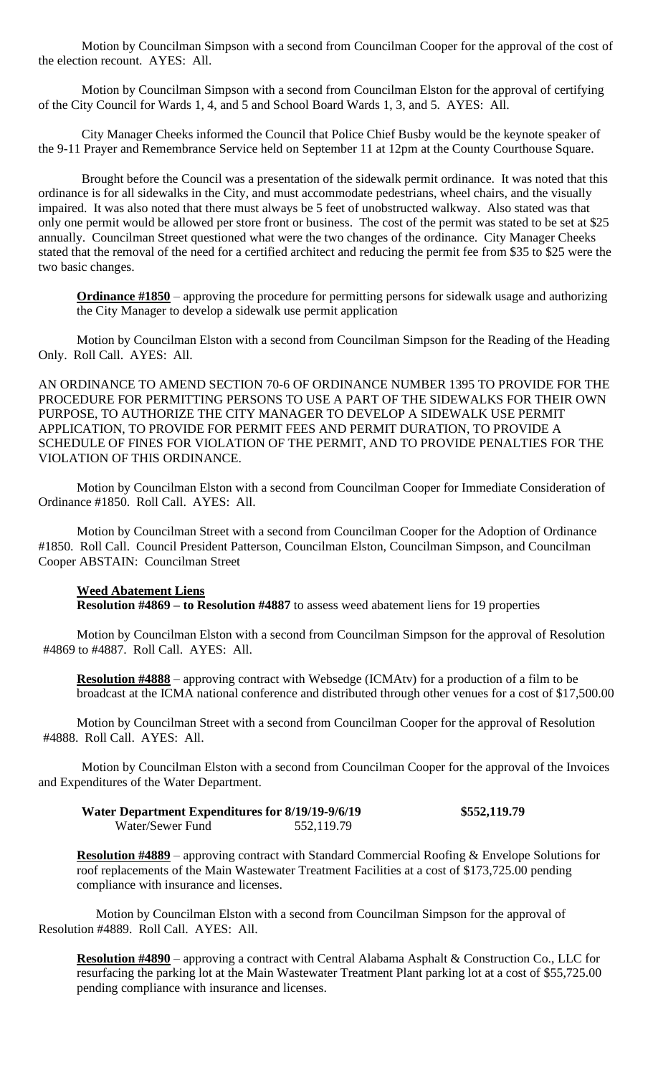Motion by Councilman Simpson with a second from Councilman Cooper for the approval of the cost of the election recount. AYES: All.

Motion by Councilman Simpson with a second from Councilman Elston for the approval of certifying of the City Council for Wards 1, 4, and 5 and School Board Wards 1, 3, and 5. AYES: All.

City Manager Cheeks informed the Council that Police Chief Busby would be the keynote speaker of the 9-11 Prayer and Remembrance Service held on September 11 at 12pm at the County Courthouse Square.

Brought before the Council was a presentation of the sidewalk permit ordinance. It was noted that this ordinance is for all sidewalks in the City, and must accommodate pedestrians, wheel chairs, and the visually impaired. It was also noted that there must always be 5 feet of unobstructed walkway. Also stated was that only one permit would be allowed per store front or business. The cost of the permit was stated to be set at \$25 annually. Councilman Street questioned what were the two changes of the ordinance. City Manager Cheeks stated that the removal of the need for a certified architect and reducing the permit fee from \$35 to \$25 were the two basic changes.

**Ordinance #1850** – approving the procedure for permitting persons for sidewalk usage and authorizing the City Manager to develop a sidewalk use permit application

Motion by Councilman Elston with a second from Councilman Simpson for the Reading of the Heading Only. Roll Call. AYES: All.

AN ORDINANCE TO AMEND SECTION 70-6 OF ORDINANCE NUMBER 1395 TO PROVIDE FOR THE PROCEDURE FOR PERMITTING PERSONS TO USE A PART OF THE SIDEWALKS FOR THEIR OWN PURPOSE, TO AUTHORIZE THE CITY MANAGER TO DEVELOP A SIDEWALK USE PERMIT APPLICATION, TO PROVIDE FOR PERMIT FEES AND PERMIT DURATION, TO PROVIDE A SCHEDULE OF FINES FOR VIOLATION OF THE PERMIT, AND TO PROVIDE PENALTIES FOR THE VIOLATION OF THIS ORDINANCE.

Motion by Councilman Elston with a second from Councilman Cooper for Immediate Consideration of Ordinance #1850. Roll Call. AYES: All.

Motion by Councilman Street with a second from Councilman Cooper for the Adoption of Ordinance #1850. Roll Call. Council President Patterson, Councilman Elston, Councilman Simpson, and Councilman Cooper ABSTAIN: Councilman Street

## **Weed Abatement Liens**

**Resolution #4869 – to Resolution #4887** to assess weed abatement liens for 19 properties

Motion by Councilman Elston with a second from Councilman Simpson for the approval of Resolution #4869 to #4887. Roll Call. AYES: All.

**Resolution #4888** – approving contract with Websedge (ICMAtv) for a production of a film to be broadcast at the ICMA national conference and distributed through other venues for a cost of \$17,500.00

Motion by Councilman Street with a second from Councilman Cooper for the approval of Resolution #4888. Roll Call. AYES: All.

Motion by Councilman Elston with a second from Councilman Cooper for the approval of the Invoices and Expenditures of the Water Department.

| <b>Water Department Expenditures for 8/19/19-9/6/19</b> |            | \$552,119.79 |
|---------------------------------------------------------|------------|--------------|
| Water/Sewer Fund                                        | 552,119.79 |              |

**Resolution #4889** – approving contract with Standard Commercial Roofing & Envelope Solutions for roof replacements of the Main Wastewater Treatment Facilities at a cost of \$173,725.00 pending compliance with insurance and licenses.

Motion by Councilman Elston with a second from Councilman Simpson for the approval of Resolution #4889. Roll Call. AYES: All.

**Resolution #4890** – approving a contract with Central Alabama Asphalt & Construction Co., LLC for resurfacing the parking lot at the Main Wastewater Treatment Plant parking lot at a cost of \$55,725.00 pending compliance with insurance and licenses.